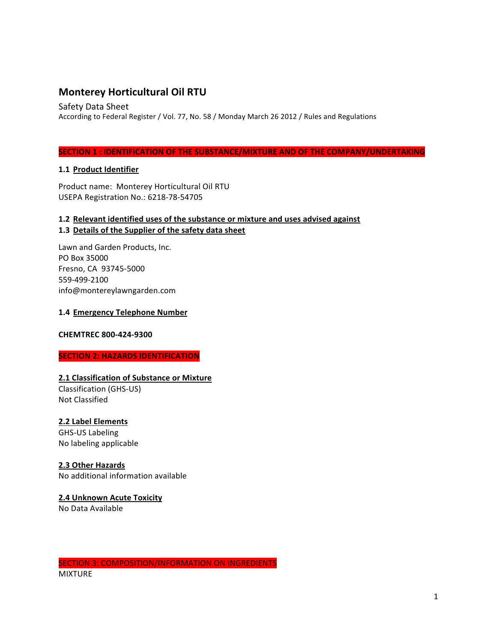# **Monterey Horticultural Oil RTU**

Safety Data Sheet

According to Federal Register / Vol. 77, No. 58 / Monday March 26 2012 / Rules and Regulations

#### **SECTION 1 : IDENTIFICATION OF THE SUBSTANCE/MIXTURE AND OF THE COMPANY/UNDERTAKING**

## **1.1 Product Identifier**

Product name: Monterey Horticultural Oil RTU USEPA Registration No.: 6218-78-54705

# 1.2 Relevant identified uses of the substance or mixture and uses advised against 1.3 Details of the Supplier of the safety data sheet

Lawn and Garden Products, Inc. PO Box 35000 Fresno, CA 93745-5000 559-499-2100 info@montereylawngarden.com

#### **1.4 Emergency Telephone Number**

#### **CHEMTREC 800-424-9300**

#### **SECTION 2: HAZARDS IDENTIFICATION**

#### **2.1 Classification of Substance or Mixture**

Classification (GHS-US) Not Classified

#### **2.2 Label Elements**

GHS-US Labeling No labeling applicable

# **2.3 Other Hazards**

No additional information available

# **2.4 Unknown Acute Toxicity**

No Data Available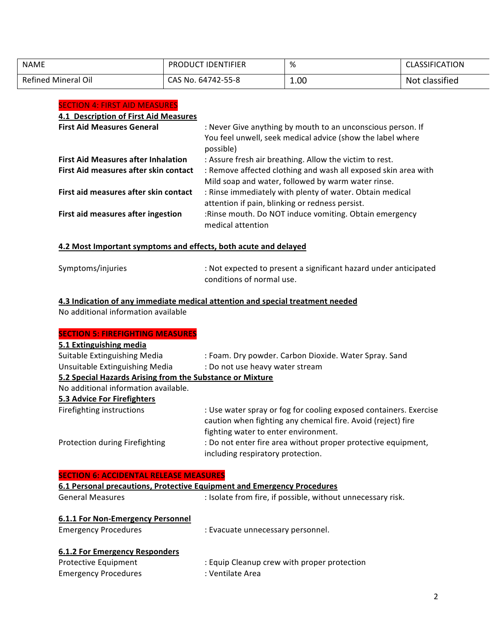| <b>NAME</b>                | <b>PRODUCT IDENTIFIER</b> | %    | <b>CLASSIFICATION</b> |
|----------------------------|---------------------------|------|-----------------------|
| <b>Refined Mineral Oil</b> | CAS No. 64742-55-8        | 1.00 | Not classified        |

#### **SECTION 4: FIRST AID MEASURES**

# **4.1 Description of First Aid Measures**

| <b>First Aid Measures General</b>          | : Never Give anything by mouth to an unconscious person. If<br>You feel unwell, seek medical advice (show the label where<br>possible) |
|--------------------------------------------|----------------------------------------------------------------------------------------------------------------------------------------|
| <b>First Aid Measures after Inhalation</b> | : Assure fresh air breathing. Allow the victim to rest.                                                                                |
| First Aid measures after skin contact      | : Remove affected clothing and wash all exposed skin area with<br>Mild soap and water, followed by warm water rinse.                   |
| First aid measures after skin contact      | : Rinse immediately with plenty of water. Obtain medical<br>attention if pain, blinking or redness persist.                            |
| First aid measures after ingestion         | :Rinse mouth. Do NOT induce vomiting. Obtain emergency<br>medical attention                                                            |

# **4.2 Most Important symptoms and effects, both acute and delayed**

| Symptoms/injuries | : Not expected to present a significant hazard under anticipated |
|-------------------|------------------------------------------------------------------|
|                   | conditions of normal use.                                        |

# **4.3 Indication of any immediate medical attention and special treatment needed**

No additional information available

| <b>SECTION 5: FIREFIGHTING MEASURES</b>                   |                                                                                                                                                                           |
|-----------------------------------------------------------|---------------------------------------------------------------------------------------------------------------------------------------------------------------------------|
| 5.1 Extinguishing media                                   |                                                                                                                                                                           |
| Suitable Extinguishing Media                              | : Foam. Dry powder. Carbon Dioxide. Water Spray. Sand                                                                                                                     |
| Unsuitable Extinguishing Media                            | : Do not use heavy water stream                                                                                                                                           |
| 5.2 Special Hazards Arising from the Substance or Mixture |                                                                                                                                                                           |
| No additional information available.                      |                                                                                                                                                                           |
| 5.3 Advice For Firefighters                               |                                                                                                                                                                           |
| Firefighting instructions                                 | : Use water spray or fog for cooling exposed containers. Exercise<br>caution when fighting any chemical fire. Avoid (reject) fire<br>fighting water to enter environment. |
| Protection during Firefighting                            | : Do not enter fire area without proper protective equipment,<br>including respiratory protection.                                                                        |

| <b>SECTION 6: ACCIDENTAL RELEASE MEASURES</b>                           |                                                             |  |
|-------------------------------------------------------------------------|-------------------------------------------------------------|--|
| 6.1 Personal precautions, Protective Equipment and Emergency Procedures |                                                             |  |
| <b>General Measures</b>                                                 | : Isolate from fire, if possible, without unnecessary risk. |  |
| 6.1.1 For Non-Emergency Personnel                                       |                                                             |  |
| <b>Emergency Procedures</b>                                             | : Evacuate unnecessary personnel.                           |  |
| 6.1.2 For Emergency Responders                                          |                                                             |  |
| Protective Equipment                                                    | : Equip Cleanup crew with proper protection                 |  |
| <b>Emergency Procedures</b>                                             | : Ventilate Area                                            |  |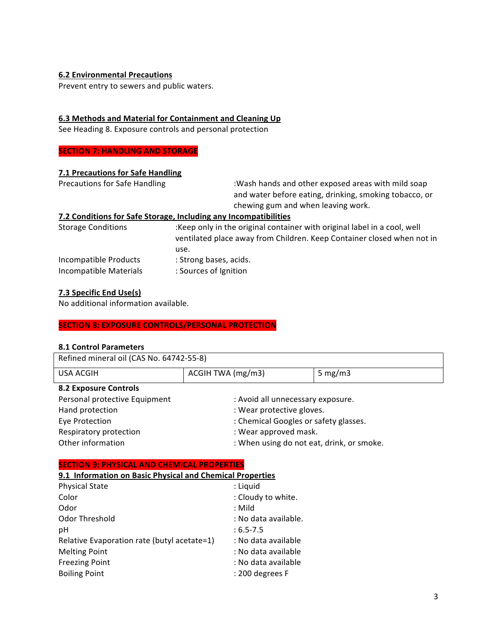#### **6.2 Environmental Precautions**

Prevent entry to sewers and public waters.

#### **6.3 Methods and Material for Containment and Cleaning Up**

See Heading 8. Exposure controls and personal protection

#### **SECTION 7: HANDLING AND STORAGE**

#### **7.1 Precautions for Safe Handling**

Precautions for Safe Handling : Wash hands and other exposed areas with mild soap and water before eating, drinking, smoking tobacco, or chewing gum and when leaving work.

#### **7.2 Conditions for Safe Storage, Including any Incompatibilities**

Storage Conditions :Keep only in the original container with original label in a cool, well ventilated place away from Children. Keep Container closed when not in use. Incompatible Products : Strong bases, acids. Incompatible Materials : Sources of Ignition

#### **7.3 Specific End Use(s)**

No additional information available.

#### **SECTION 8: EXPOSURE CONTROLS/PERSONAL PROTECTION**

#### **8.1 Control Parameters**

| Refined mineral oil (CAS No. 64742-55-8) |                                           |            |
|------------------------------------------|-------------------------------------------|------------|
| USA ACGIH                                | ACGIH TWA (mg/m3)                         | 5 mg/m $3$ |
| <b>8.2 Exposure Controls</b>             |                                           |            |
| Personal protective Equipment            | : Avoid all unnecessary exposure.         |            |
| Hand protection                          | : Wear protective gloves.                 |            |
| Eye Protection                           | : Chemical Googles or safety glasses.     |            |
| Respiratory protection                   | : Wear approved mask.                     |            |
| Other information                        | : When using do not eat, drink, or smoke. |            |

#### **SECTION 9: PHYSICAL AND CHEMICAL PROPERTIES**

#### **9.1 Information on Basic Physical and Chemical Properties**

| <b>Physical State</b>                       | : Liquid             |
|---------------------------------------------|----------------------|
| Color                                       | : Cloudy to white.   |
| Odor                                        | : Mild               |
| Odor Threshold                              | : No data available. |
| pH                                          | $: 6.5 - 7.5$        |
| Relative Evaporation rate (butyl acetate=1) | : No data available  |
| <b>Melting Point</b>                        | : No data available  |
| <b>Freezing Point</b>                       | : No data available  |
| <b>Boiling Point</b>                        | : 200 degrees F      |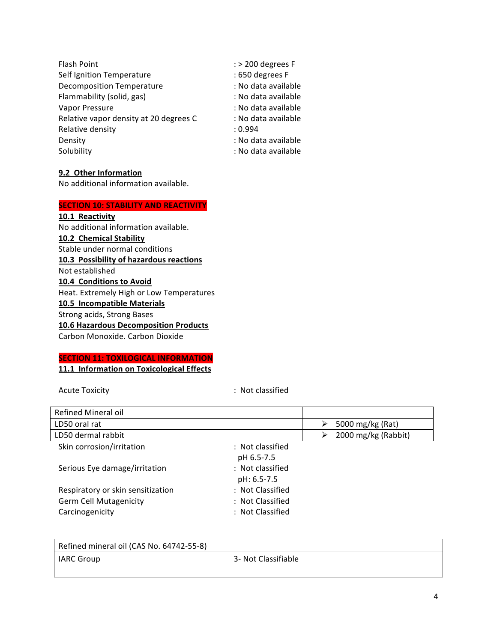| Flash Point                            | $:$ > 200 degrees F |
|----------------------------------------|---------------------|
| Self Ignition Temperature              | : 650 degrees F     |
| <b>Decomposition Temperature</b>       | : No data available |
| Flammability (solid, gas)              | : No data available |
| Vapor Pressure                         | : No data available |
| Relative vapor density at 20 degrees C | : No data available |
| Relative density                       | : 0.994             |
| Density                                | : No data available |
| Solubility                             | : No data available |
|                                        |                     |

#### **9.2 Other Information**

No additional information available.

## **SECTION 10: STABILITY AND REACTIVITY**

**10.1 Reactivity** No additional information available. **10.2 Chemical Stability** Stable under normal conditions **10.3 Possibility of hazardous reactions** Not established **10.4 Conditions to Avoid** Heat. Extremely High or Low Temperatures **10.5 Incompatible Materials** Strong acids, Strong Bases **10.6 Hazardous Decomposition Products** Carbon Monoxide. Carbon Dioxide

# **SECTION 11: TOXILOGICAL INFORMATION**

**11.1 Information on Toxicological Effects** 

Acute Toxicity **and Transformation** : Not classified

| Refined Mineral oil               |                          |
|-----------------------------------|--------------------------|
| LD50 oral rat                     | 5000 mg/kg (Rat)         |
| LD50 dermal rabbit                | 2000 mg/kg (Rabbit)<br>⋗ |
| Skin corrosion/irritation         | : Not classified         |
|                                   | pH 6.5-7.5               |
| Serious Eye damage/irritation     | : Not classified         |
|                                   | pH: 6.5-7.5              |
| Respiratory or skin sensitization | : Not Classified         |
| <b>Germ Cell Mutagenicity</b>     | : Not Classified         |
| Carcinogenicity                   | : Not Classified         |

| Refined mineral oil (CAS No. 64742-55-8) |                     |
|------------------------------------------|---------------------|
| I IARC Group                             | 3- Not Classifiable |
|                                          |                     |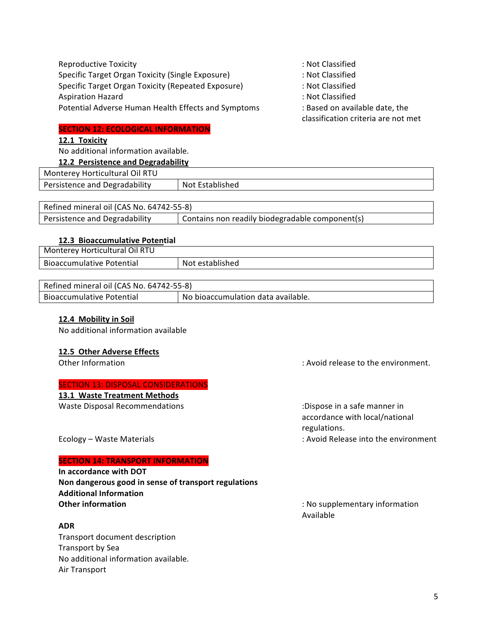| Reproductive Toxicity                               |
|-----------------------------------------------------|
| Specific Target Organ Toxicity (Single Exposure)    |
| Specific Target Organ Toxicity (Repeated Exposure)  |
| <b>Aspiration Hazard</b>                            |
| Potential Adverse Human Health Effects and Symptoms |

## **SECTION 12: ECOLOGICAL INFORMATION**

## **12.1 Toxicity**

No additional information available.

#### **12.2 Persistence and Degradability**

: Not Classified

- : Not Classified
- : Not Classified
- : Not Classified
- $mptoms$  : Based on available date, the

classification criteria are not met

| 12.2 Persistence and Degradability |                 |
|------------------------------------|-----------------|
| Monterey Horticultural Oil RTU     |                 |
| Persistence and Degradability      | Not Established |
|                                    |                 |

| Refined mineral oil (CAS No. 64742-55-8) |                                                 |  |
|------------------------------------------|-------------------------------------------------|--|
| Persistence and Degradability            | Contains non readily biodegradable component(s) |  |

#### **12.3 Bioaccumulative Potential**

| Monterey Horticultural Oil RTU |                 |
|--------------------------------|-----------------|
| Bioaccumulative Potential      | Not established |

| Refined mineral oil (CAS No. 64742-55-8) |                                    |  |
|------------------------------------------|------------------------------------|--|
| Bioaccumulative Potential                | No bioaccumulation data available. |  |

#### **12.4 Mobility in Soil**

No additional information available

#### **12.5 Other Adverse Effects**

#### **SECTION 13: DISPOSAL CONSIDERATIONS**

#### **13.1 Waste Treatment Methods**

Waste Disposal Recommendations in the commendations of the control of the control of the control of the control of the control of the control of the control of the control of the control of the control of the control of th

Other Information **included** in the control of the environment.

accordance with local/national regulations. Ecology – Waste Materials in the cology – Waste Materials into the environment

#### **SECTION 14: TRANSPORT INFORMATION**

**In accordance with DOT** Non dangerous good in sense of transport regulations **Additional Information Other information Constanting Constanting Constanting Constanting Constanting Constanting Constanting Constanting Constanting Constanting Constanting Constanting Constanting Constanting Constanting Constanting Constanti** 

#### **ADR**

Transport document description Transport by Sea No additional information available. Air Transport

Available